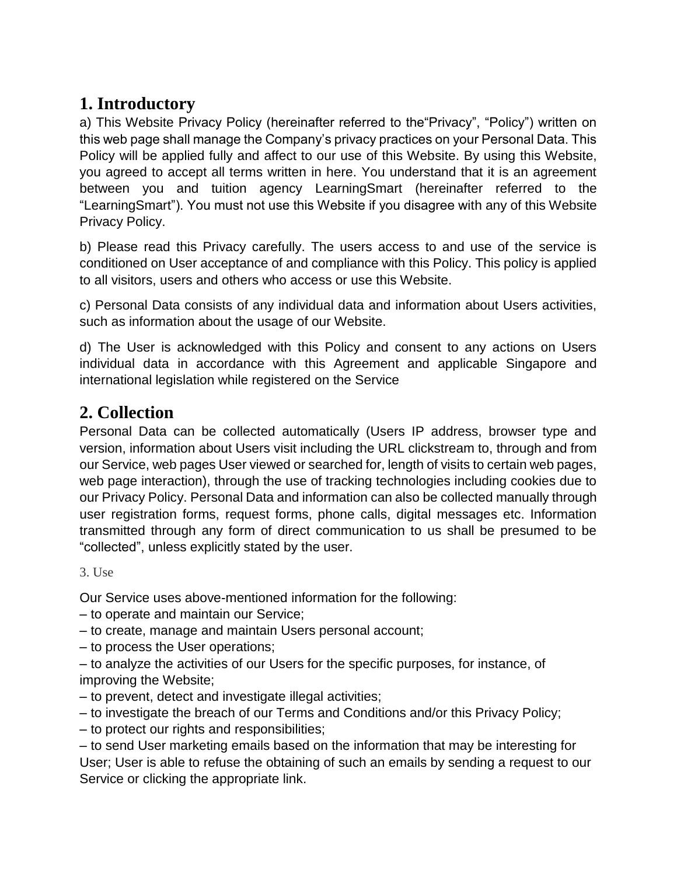### **1. Introductory**

a) This Website Privacy Policy (hereinafter referred to the"Privacy", "Policy") written on this web page shall manage the Company's privacy practices on your Personal Data. This Policy will be applied fully and affect to our use of this Website. By using this Website, you agreed to accept all terms written in here. You understand that it is an agreement between you and tuition agency LearningSmart (hereinafter referred to the "LearningSmart"). You must not use this Website if you disagree with any of this Website Privacy Policy.

b) Please read this Privacy carefully. The users access to and use of the service is conditioned on User acceptance of and compliance with this Policy. This policy is applied to all visitors, users and others who access or use this Website.

c) Personal Data consists of any individual data and information about Users activities, such as information about the usage of our Website.

d) The User is acknowledged with this Policy and consent to any actions on Users individual data in accordance with this Agreement and applicable Singapore and international legislation while registered on the Service

#### **2. Collection**

Personal Data can be collected automatically (Users IP address, browser type and version, information about Users visit including the URL clickstream to, through and from our Service, web pages User viewed or searched for, length of visits to certain web pages, web page interaction), through the use of tracking technologies including cookies due to our Privacy Policy. Personal Data and information can also be collected manually through user registration forms, request forms, phone calls, digital messages etc. Information transmitted through any form of direct communication to us shall be presumed to be "collected", unless explicitly stated by the user.

3. Use

Our Service uses above-mentioned information for the following:

– to operate and maintain our Service;

- to create, manage and maintain Users personal account;
- to process the User operations;
- to analyze the activities of our Users for the specific purposes, for instance, of improving the Website;
- to prevent, detect and investigate illegal activities;
- to investigate the breach of our Terms and Conditions and/or this Privacy Policy;
- to protect our rights and responsibilities;

– to send User marketing emails based on the information that may be interesting for User; User is able to refuse the obtaining of such an emails by sending a request to our Service or clicking the appropriate link.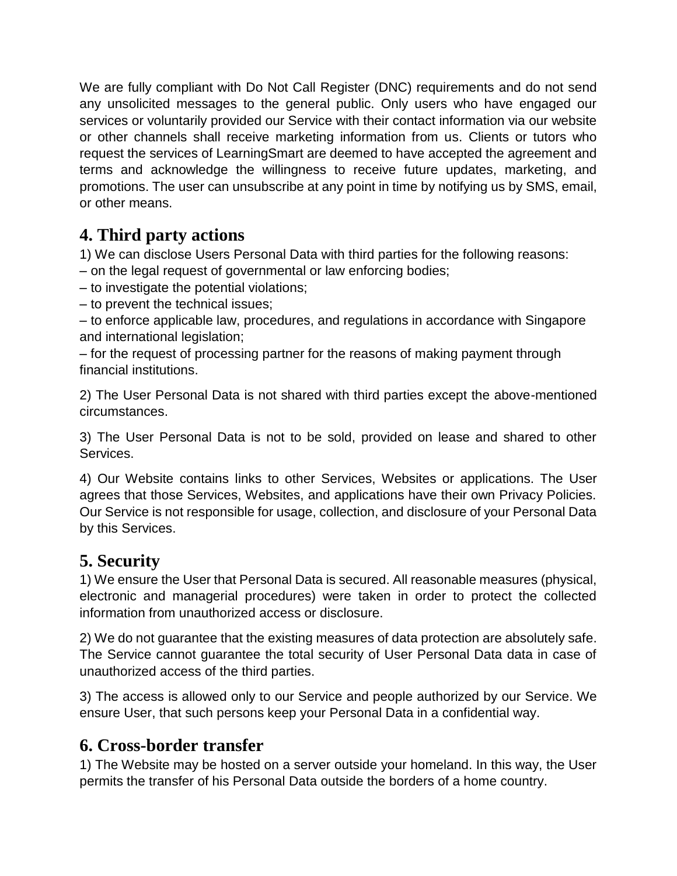We are fully compliant with Do Not Call Register (DNC) requirements and do not send any unsolicited messages to the general public. Only users who have engaged our services or voluntarily provided our Service with their contact information via our website or other channels shall receive marketing information from us. Clients or tutors who request the services of LearningSmart are deemed to have accepted the agreement and terms and acknowledge the willingness to receive future updates, marketing, and promotions. The user can unsubscribe at any point in time by notifying us by SMS, email, or other means.

### **4. Third party actions**

1) We can disclose Users Personal Data with third parties for the following reasons:

– on the legal request of governmental or law enforcing bodies;

- to investigate the potential violations;
- to prevent the technical issues;

– to enforce applicable law, procedures, and regulations in accordance with Singapore and international legislation;

– for the request of processing partner for the reasons of making payment through financial institutions.

2) The User Personal Data is not shared with third parties except the above-mentioned circumstances.

3) The User Personal Data is not to be sold, provided on lease and shared to other Services.

4) Our Website contains links to other Services, Websites or applications. The User agrees that those Services, Websites, and applications have their own Privacy Policies. Our Service is not responsible for usage, collection, and disclosure of your Personal Data by this Services.

# **5. Security**

1) We ensure the User that Personal Data is secured. All reasonable measures (physical, electronic and managerial procedures) were taken in order to protect the collected information from unauthorized access or disclosure.

2) We do not guarantee that the existing measures of data protection are absolutely safe. The Service cannot guarantee the total security of User Personal Data data in case of unauthorized access of the third parties.

3) The access is allowed only to our Service and people authorized by our Service. We ensure User, that such persons keep your Personal Data in a confidential way.

### **6. Cross-border transfer**

1) The Website may be hosted on a server outside your homeland. In this way, the User permits the transfer of his Personal Data outside the borders of a home country.